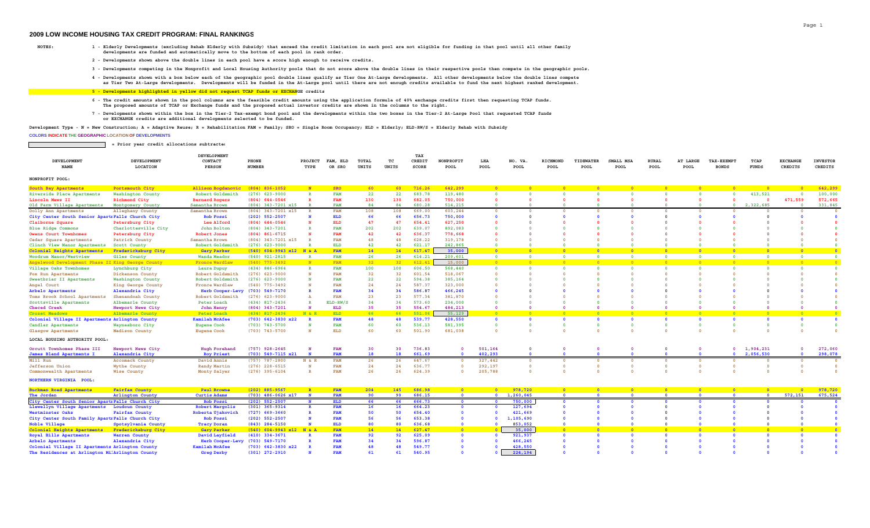## **2009 LOW INCOME HOUSING TAX CREDIT PROGRAM: FINAL RANKINGS**

- **NOTES: 1 Elderly Developments (excluding Rehab Elderly with Subsidy) that exceed the credit limitation in each pool are not eligible for funding in that pool until all other family developments are funded and automatically move to the bottom of each pool in rank order.**
	- **2 Developments shown above the double lines in each pool have a score high enough to receive credits.**
	- **3 Developments competing in the Nonprofit and Local Housing Authority pools that do not score above the double lines in their respective pools then compete in the geographic pools.**
	- **4 Developments shown with a box below each of the geographic pool double lines qualify as Tier One At-Large developments. All other developments below the double lines compete as Tier Two At-Large developments. Developments will be funded in the At-Large pool until there are not enough credits available to fund the next highest ranked development.**

## **5 - Developments highlighted in yellow did not request TCAP funds or EXCHANGE credits**

- **6 The credit amounts shown in the pool columns are the feasible credit amounts using the application formula of 40% exchange credits first then requesting TCAP funds. The proposed amounts of TCAP or Exchange funds and the proposed actual investor credits are shown in the columns to the right.**
- 7 Developments shown within the box in the Tier-2 Tax-exempt bond pool and the developments within the two boxes in the Tier-2 At-Large Pool that requested TCAP funds<br>or EXCHANGE credits are additional developments selec

**Development Type - N = New Construction; A = Adaptive Reuse; R = Rehabilitation FAM = Family; SRO = Single Room Occupancy; ELD = Elderly; ELD-RW/S = Elderly Rehab with Subsidy**

## **COLORS INDICATE THE GEOGRAPHIC LOCATION OF DEVELOPMENTS**

 **= Prior year credit allocations subtracted**

|                    |             | <b>DEVELOPMENT</b> |               |         |          |       |       |              |           |      |         |          |           |           |       |          |                   |      |                 |                 |
|--------------------|-------------|--------------------|---------------|---------|----------|-------|-------|--------------|-----------|------|---------|----------|-----------|-----------|-------|----------|-------------------|------|-----------------|-----------------|
| <b>DEVELOPMENT</b> | DEVELOPMENT | CONTACT            | PHONE         | PROJECT | FAM, ELD | TOTAL |       | CREDIT       | NONPROFIT | LHA  | NO. VA. | RICHMONI | TIDEWATER | SMALL MSA | RURAL | AT LARGE | <b>TAX-EXEMPT</b> | TCAP | <b>EXCHANGE</b> | <b>INVESTOR</b> |
| 171177             | LOCATION    | <b>PERSON</b>      | <b>NUMBER</b> | TYPE    | OR SRO   | UNITS | UNITS | <b>SCORE</b> | POOL      | POOL | POOL    | POOL     | POOL      | POOL      | POOL  | POOL     | <b>BONDS</b>      |      | CREDITS         | CREDITS         |

| NONPROFIT POOL: |  |
|-----------------|--|
|                 |  |

| South Bay Apartments                              | Portsmouth City       | Allison Bogdanovic      | $(804)$ 836-1052           |              | <b>SRO</b> | 60  |                 | 716.26 | 642,299    |         |                     |                |                                            |            |                |            |                |                         | 642,299 |  |
|---------------------------------------------------|-----------------------|-------------------------|----------------------------|--------------|------------|-----|-----------------|--------|------------|---------|---------------------|----------------|--------------------------------------------|------------|----------------|------------|----------------|-------------------------|---------|--|
| Riverside Place Apartments                        | Washington County     | Robert Goldsmith        | $(276)$ 623-9000           |              | <b>FAM</b> | 22  | 22              | 683.78 | 119,480    |         |                     |                |                                            |            |                |            | 413,521        |                         | 100,000 |  |
| Lincoln Mews II                                   | Richmond City         | <b>Bernard Rogers</b>   | $(804) 644 - 0546$         |              | FAM        | 130 | 130             | 682.05 | 750,000    |         |                     |                |                                            |            |                |            |                | 471,559                 | 572,665 |  |
| Old Farm Village Apartments                       | Montgomery County     | Samantha Brown          | $(804)$ 343-7201 x15       |              | <b>FAM</b> | 84  | 84              | 680.28 | 514,215    |         |                     |                |                                            |            |                |            | 2,322,685      |                         | 331,845 |  |
| Dolly Ann Apartments                              | Alleghany County      | Samantha Brown          | $(804)$ 343-7201 x15       | $\mathbb{R}$ | <b>FAM</b> | 108 | 108             | 669.00 | 603,244    |         |                     |                |                                            |            |                |            |                |                         |         |  |
| City Center South Senior ApartiFalls Church City  |                       | <b>Rob Fossi</b>        | $(202)$ 552-2507           |              | <b>ELD</b> | 66  | 66              | 656.73 | 750,000    |         |                     |                |                                            |            |                |            |                |                         |         |  |
| Claiborne Square                                  | Petersburg City       | Lee Alford              | $(804) 644 - 0546$         |              | <b>ELD</b> | 47  | 47              | 654.41 | 627,250    |         |                     |                |                                            |            |                |            |                |                         |         |  |
| <b>Blue Ridge Commons</b>                         | Charlottesville City  | John Bolton             | $(804)$ 343-7201           |              | <b>FAM</b> | 202 | 202             | 639.07 | 892,083    |         |                     |                |                                            |            |                |            |                |                         |         |  |
| Owens Court Townhomes                             | Petersburg City       | <b>Robert Jones</b>     | $(804) 861 - 6715$         |              | FAM        | 42  | 42              | 636.37 | 778,668    |         |                     |                |                                            |            |                |            |                |                         |         |  |
| Cedar Square Apartments                           | Patrick County        | Samantha Brown          | $(804)$ 343-7201 x15       |              | FAM        | 48  | 48              | 628.22 | 319,178    |         |                     |                |                                            |            |                |            |                |                         |         |  |
| Clinch View Manor Apartments                      | Scott County          | Robert Goldsmith        | $(276)$ 623-9000           |              | <b>ELD</b> | 42  | 42              | 621.17 | 242,865    |         |                     |                |                                            |            |                |            |                |                         |         |  |
| Colonial Heights Apartments                       | Fredericksburg City   | <b>Gary Parker</b>      | $(540)$ 604-9943 x12 N & A |              | FAM        | 14  | 14              | 617.47 | 35,000     |         |                     |                |                                            |            |                |            |                |                         |         |  |
| Woodrum Manor/Westview                            | Giles County          | Wanda Meador            | $(540)$ 921-2815           |              | <b>FAM</b> | 26  | 26              | 614.21 | 209,601    |         |                     |                |                                            |            |                |            |                |                         |         |  |
| Angelwood Development Phase II King George County |                       | <b>Fronce Wardlaw</b>   | $(540)$ 775-3492           |              | FAM        | 32  | 32 <sub>2</sub> | 612.41 | 15,000     |         |                     |                |                                            |            |                |            |                |                         |         |  |
| Village Oaks Townhomes                            | Lynchburg City        | Laura Dupuy             | $(434) 846 - 6964$         |              | <b>FAM</b> | 100 | 100             | 606.50 | 568,440    |         |                     |                |                                            |            |                |            |                |                         |         |  |
| Fox Run Apartments                                | Dickenson County      | Robert Goldsmith        | $(276)$ 623-9000           |              | <b>FAM</b> | 32  | 32              | 601.54 | 518,067    |         |                     |                |                                            |            |                |            |                |                         |         |  |
| Sweetbriar II Apartments                          | Washington County     | Robert Goldsmith        | $(276)$ 623-9000           |              | <b>FAM</b> | 22  | 22              | 594.38 | 385,164    |         |                     |                |                                            |            |                |            |                |                         |         |  |
| Angel Court                                       | King George County    | <b>Fronce Wardlaw</b>   | $(540)$ 775-3492           |              | FAM        | 24  | 24              | 587.37 | 323,000    |         |                     |                |                                            |            |                |            |                |                         |         |  |
| Arbelo Apartments                                 | Alexandria City       | <b>Herb Cooper-Levy</b> | $(703) 549 - 7170$         |              | <b>FAM</b> | 34  | 34              | 586.87 | 466,245    |         |                     |                |                                            |            |                |            |                |                         |         |  |
| Toms Brook School Apartments                      | Shenandoah County     | Robert Goldsmith        | $(276)$ 623-9000           |              | FAM        | 23  | 23              | 577.34 | 381,870    |         |                     |                |                                            |            |                |            |                |                         |         |  |
| Scottsville Apartments                            | Albemarle County      | Peter Loach             | $(434)$ 817-2436           |              | $ELD-RW/S$ | 34  | 34              | 573.60 | 234,000    |         |                     |                |                                            |            |                |            |                |                         |         |  |
| Checed Creek                                      | Newport News City     | John Henry              | $(804)$ 343-7201           |              | <b>ELD</b> | 35  | 35              | 554.67 | 484,213    |         |                     |                |                                            |            |                |            |                |                         |         |  |
| Crozet Meadows                                    | Albemarle County      | Peter Loach             | $(434)$ 817-2436           | N & R        | <b>ELD</b> | 66  | 66              | 551.06 | 55,129     |         |                     |                |                                            |            |                |            |                |                         |         |  |
| Colonial Village II Apartments Arlington County   |                       | <b>Kamilah McAfee</b>   | $(703)$ 642-3830 x22       |              | <b>FAM</b> | 48  | 48              | 539.77 | 428,550    |         |                     |                |                                            |            |                |            |                |                         |         |  |
| Candler Apartments                                | Waynesboro City       | <b>Eugene Cook</b>      | $(703)$ $743 - 5700$       |              | <b>FAM</b> | 60  | 60              | 536.13 | 581,395    |         |                     |                |                                            |            |                |            |                |                         |         |  |
| Glasgow Apartments                                | Madison County        | <b>Eugene Cook</b>      | $(703)$ $743 - 5700$       |              | <b>ELD</b> | 60  | 60              | 501.90 | 681,038    |         |                     |                |                                            |            |                |            |                |                         |         |  |
| LOCAL HOUSING AUTHORITY POOL:                     |                       |                         |                            |              |            |     |                 |        |            |         |                     |                |                                            |            |                |            |                |                         |         |  |
|                                                   |                       |                         |                            |              |            |     |                 |        |            |         |                     |                |                                            |            |                |            |                |                         |         |  |
| Orcutt Townhomes Phase III                        | Newport News City     | Hugh Forehand           | $(757)$ 928-2645           |              | <b>FAM</b> | 30  | 30              | 736.83 |            | 501,164 |                     |                |                                            |            |                |            | 1,904,231      |                         | 272,060 |  |
| James Bland Apartments I                          | Alexandria City       | <b>Roy Priest</b>       | $(703)$ 549-7115 $x21$     |              | <b>FAM</b> | 18  | 18              | 661.69 |            | 402,293 |                     |                |                                            |            |                |            | 2,056,530      |                         | 298,078 |  |
| Mill Run                                          | Accomack County       | David Annis             | $(757)$ 787-2800           | N & R        | FAM        | 26  | 26              | 647.67 |            | 327,442 |                     |                |                                            |            |                |            |                |                         |         |  |
| <b>Jefferson Union</b>                            | Wythe County          | Randy Martin            | $(276)$ 228-6515           |              | FAM        | 24  | 24              | 636.77 |            | 292,197 |                     |                |                                            |            |                |            |                |                         |         |  |
| Commonwealth Apartments                           | <b>Wise County</b>    | Monty Salyer            | $(276)$ 395-6104           |              | <b>FAM</b> | 26  | 26              | 624.39 |            | 205,788 |                     |                |                                            |            |                |            |                |                         |         |  |
| NORTHERN VIRGINIA POOL:                           |                       |                         |                            |              |            |     |                 |        |            |         |                     |                |                                            |            |                |            |                |                         |         |  |
|                                                   |                       |                         |                            |              |            |     |                 |        |            |         |                     |                |                                            |            |                |            |                |                         |         |  |
| <b>Buckman Road Apartments</b>                    | <b>Fairfax County</b> | <b>Paul Browne</b>      | $(202)$ 885-9567           |              | FAM        | 204 | 145             | 686.98 | $\sqrt{2}$ |         | 978,720             | $\overline{a}$ | $\overline{\phantom{a}}$<br>$\overline{a}$ | $\sqrt{2}$ | $\overline{a}$ | $\sqrt{2}$ | $\overline{a}$ |                         | 978,720 |  |
| The Jordan                                        | Arlington County      | <b>Curtis Adams</b>     | $(703)$ 486-0626 x17       | $\mathbf{N}$ | <b>FAM</b> | 90  | 90              | 686.15 |            |         | $0 \quad 1,260,045$ |                |                                            |            |                |            |                | 572,151<br>$\mathbf{a}$ | 675,524 |  |
| City Center South Senior Apart Falls Church City  |                       | <b>Rob Fossi</b>        | $(202)$ 552-2507           | $\mathbf{N}$ | <b>ELD</b> | 66  | 66              | 666.73 | $\Omega$   |         | 750,000             |                |                                            |            |                |            |                |                         |         |  |
| Llewellyn Village Apartments                      | Loudoun County        | <b>Robert Margolis</b>  | $(301) 365 - 9314$         |              | <b>FAM</b> | 16  | 16              | 664.23 |            |         | 127,694             |                |                                            |            |                |            |                |                         |         |  |
| <b>Westminster Oaks</b>                           | <b>Fairfax County</b> | Roberta Ujakovich       | $(727)$ 669-3660           |              | <b>FAM</b> | 50  | 50              | 654.40 |            |         | 421,669             |                |                                            |            |                |            |                |                         |         |  |
| City Center South Family ApartiFalls Church City  |                       | <b>Rob Fossi</b>        | $(202)$ 552-2507           |              | <b>FAM</b> | 56  | 56              | 653.38 |            |         | 1,105,690           |                |                                            |            |                |            |                |                         |         |  |

| $1100$ can also cut value                        | $-2422222222227$    |                                          |                      |              |     | --- | ---          |        | ____ | ------                                      |  |  |  |  |  |
|--------------------------------------------------|---------------------|------------------------------------------|----------------------|--------------|-----|-----|--------------|--------|------|---------------------------------------------|--|--|--|--|--|
| City Center South Family Apart Falls Church City |                     | <b>Rob Fossi</b>                         | $(202)$ 552-2507     |              |     |     |              | 653.38 |      | 1,105,690                                   |  |  |  |  |  |
| Noble Village                                    | Spotsylvania County | <b>Tracy Doran</b>                       | $(843)$ 284-5150     |              | ELD |     | 80           | 636.68 |      |                                             |  |  |  |  |  |
| Colonial Heights Apartments                      | Fredericksburg City | Gary Parker (540) 604-9943 x12 N & A FAM |                      |              |     |     | 14 14 627.47 |        |      | $\begin{array}{c c} 0 & 35,000 \end{array}$ |  |  |  |  |  |
| Royal Hills Apartments                           | Warren County       | David Layfield (410) 334-3671            |                      |              |     |     | 92           | 625.09 |      | 921,937                                     |  |  |  |  |  |
| Arbelo Apartments                                | Alexandria City     | Herb Cooper-Levy (703) 549-7170          |                      |              |     |     |              | 596.87 |      | 466,245                                     |  |  |  |  |  |
| Colonial Village II Apartments Arlington County  |                     | <b>Kamilah McAfee</b>                    | $(703)$ 642-3830 x22 |              |     |     |              | 549.77 |      | 428,550                                     |  |  |  |  |  |
| The Residences at Arlington MilArlington County  |                     | <b>Greg Derby</b>                        | (301) 272-2910       | <b>N</b> FAM |     |     |              | 540.95 |      | 224,194 0 0                                 |  |  |  |  |  |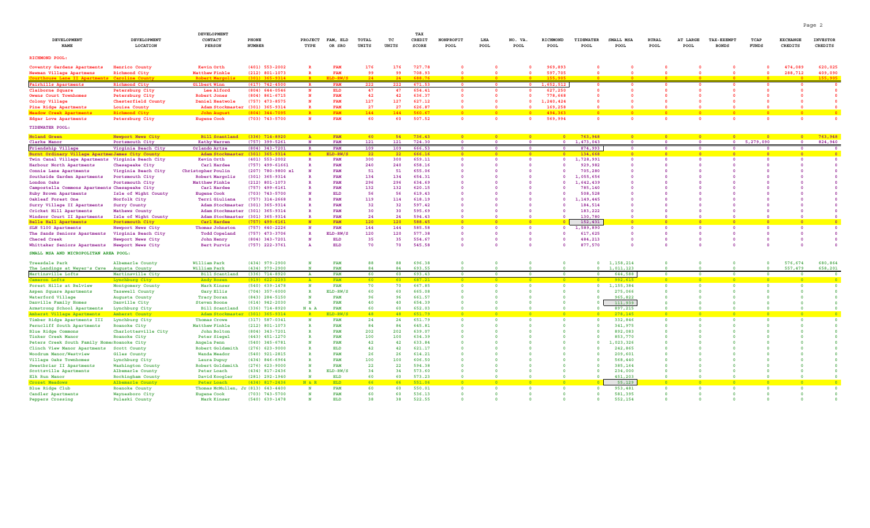| DEVELOPMENT<br>NAME                                     | DEVELOPMENT<br>LOCATION                | DEVELOPMENT<br><b>CONTACT</b><br><b>PERSON</b> | PHONE<br><b>NUMBER</b>                 | <b>PROJECT</b><br>TYPE | FAM, ELD<br>OR SRO       | TOTAL<br>UNITS | тc<br>UNITS | TAX<br>CREDIT<br>SCORE | NONPROFIT<br>POOL | LHA<br>POOL | NO. VA.<br>POOL | RICHMOND<br>POOL   | TIDEWATER<br>POOL        | SMALL MSA<br>POOL  | <b>RURAL</b><br>POOL    | AT LARGE<br>POOL | <b>TAX-EXEMPT</b><br><b>BONDS</b> | TCAP<br>FUNDS | <b>EXCHANGE</b><br>CREDITS | <b>INVESTOR</b><br>CREDITS |
|---------------------------------------------------------|----------------------------------------|------------------------------------------------|----------------------------------------|------------------------|--------------------------|----------------|-------------|------------------------|-------------------|-------------|-----------------|--------------------|--------------------------|--------------------|-------------------------|------------------|-----------------------------------|---------------|----------------------------|----------------------------|
| RICHMOND POOL:                                          |                                        |                                                |                                        |                        |                          |                |             |                        |                   |             |                 |                    |                          |                    |                         |                  |                                   |               |                            |                            |
|                                                         |                                        |                                                |                                        |                        |                          |                |             |                        |                   |             |                 |                    |                          |                    |                         |                  |                                   |               |                            |                            |
| Coventry Gardens Apartments<br>Newman Village Apartmens | Henrico County<br>Richmond City        | Kevin Orth<br>Matthew Finkle                   | $(401)$ 553-2002<br>$(212)$ 801-1073   |                        | <b>FAM</b><br>FAM        | 176<br>99      | 176<br>99   | 727.78<br>708.93       |                   |             |                 | 969,893<br>597,705 |                          |                    |                         |                  |                                   |               | 474,089<br>288,712         | 620,025<br>409,090         |
| uirthouse Lane II Apartments, Caroline Count            |                                        | Robert Margolis                                | $(301)$ $365 - 9314$                   |                        | RT.D-RM                  | 24             | 24          | <b>688.76</b>          |                   |             |                 | 155.901            |                          |                    |                         |                  |                                   |               |                            | 155.905                    |
| <b>Fairhills Apartments</b>                             | Richmond City                          | Gilbert Winn                                   | $(617)$ 742-4500                       | $\mathbf{R}$           | <b>FAM</b>               | 222            | 222         | 671.53                 |                   |             |                 | 1,652,512          | $\Omega$                 |                    |                         |                  |                                   |               |                            |                            |
| Claiborne Square                                        | Petersburg City                        | Lee Alford                                     | $(804) 644 - 0546$                     |                        | <b>ELD</b>               | 47             | 47          | 654.41                 |                   |             |                 | 627,250            |                          |                    |                         |                  |                                   |               |                            |                            |
| Owens Court Townhomes                                   | Petersburg City                        | <b>Robert Jones</b>                            | $(804)$ 861-6715                       |                        | FAM                      | 42             | 42          | 636.37                 |                   |             |                 | 778,668            |                          |                    |                         |                  |                                   |               |                            |                            |
| Colony Village                                          | Chesterfield County                    | Daniel Heatwole                                | $(757)$ 473-8575                       |                        | FAM                      | 127            | 127         | 627.12                 |                   |             |                 | 1,240,424          |                          |                    |                         |                  |                                   |               |                            |                            |
| Pine Ridge Apartments                                   | Louisa County                          | Adam Stockmaster (301) 365-9314                |                                        | $\mathbf{R}$           | <b>FAM</b>               | 27             | 27          | 626.87                 |                   |             | $\Omega$        | 169,258            |                          |                    |                         |                  |                                   |               |                            |                            |
| <b>Meadow Creek Apartments</b>                          | Richmond City                          | <b>John August</b>                             | $(804)$ 344-7095                       | <b>R</b>               | FAM                      | 144            | 144         | 560.67                 |                   |             |                 | 494,363            | $\overline{\phantom{a}}$ |                    |                         |                  |                                   |               |                            | - 0                        |
| <b>Edgar Love Apartments</b>                            | Petersburg City                        | <b>Eugene Cook</b>                             | $(703)$ 743-5700                       |                        | FAM                      | 60             | 60          | 507.52                 | $\Omega$          |             | $\Omega$        | 569,994            | $\Omega$                 |                    | $\Omega$                |                  |                                   |               |                            |                            |
| TIDEWATER POOL:                                         |                                        |                                                |                                        |                        |                          |                |             |                        |                   |             |                 |                    |                          |                    |                         |                  |                                   |               |                            |                            |
| <b>Noland Green</b>                                     | Newport News City                      | <b>Bill Scantland</b>                          | $(336)$ $714 - 8920$                   |                        | FAM                      | 60             | 54          | 736.43                 |                   |             |                 |                    | 763,948                  |                    |                         |                  |                                   |               |                            | 763,948                    |
| Clarke Manor                                            | Portsmouth City                        | <b>Kathy Warren</b>                            | $(757)$ 399-5261                       | $\mathbf{N}$           | <b>FAM</b>               | 121            | 121         | 724.30                 | $\Omega$          |             |                 | $\Omega$           | 1,473,043                |                    | $\Omega$                |                  | $\bullet$                         | 5,279,090     | $\Omega$                   | 824,940                    |
| Friendship Village                                      | Virginia Beach City                    | Orlando Artze                                  | $(804)$ 343-7201                       |                        | <b>FAM</b>               | 109            | 109         | 666.53                 |                   |             |                 |                    | 874,993                  |                    | $\Omega$                |                  | $\Omega$                          |               | $\Omega$                   |                            |
| Burnt Ordinary Village Apartmen James City County       |                                        | Adam Stockmas                                  | $(301) 365 - 9314$                     |                        | ELD-RW/                  | 22             | 22          | 666.16                 | - 0               |             | $\overline{0}$  | $\Omega$           | 134,668                  | <b>n</b>           | - 0                     |                  | $\sqrt{2}$                        | <b>DO</b>     | $\sqrt{2}$                 |                            |
| Twin Canal Village Apartments                           | Virginia Beach City                    | Kevin Orth                                     | $(401)$ 553-2002<br>$(757)$ 499-61661  |                        | <b>FAM</b><br>FAM        | 300<br>240     | 300<br>240  | 659.11<br>658.16       |                   |             |                 |                    | 1,728,991<br>929,982     |                    | $\Omega$                |                  |                                   |               |                            |                            |
| Harbour North Apartments<br>Connie Lane Apartments      | Chesapeake City<br>Virginia Beach City | Carl Hardee<br>Christopher Poulin              | $(207)$ 780-9800 x1                    |                        | FAM                      | 51             | 51          | 655.06                 |                   |             |                 |                    | 705,280                  |                    |                         |                  |                                   |               |                            |                            |
| Southside Garden Apartments                             | Portsmouth City                        | Robert Margolis                                | $(301)$ 365-9314                       |                        | <b>FAM</b>               | 134            | 134         | 654.31                 |                   |             |                 |                    | 1,055,656                |                    |                         |                  |                                   |               |                            |                            |
| London Oaks                                             | Portsmouth City                        | Matthew Finkle                                 | $(212)$ 801-1073                       |                        | <b>FAM</b>               | 296            | 296         | 634.69                 |                   |             |                 |                    | 1,642,439                |                    |                         |                  |                                   |               |                            |                            |
| Campostella Commons Apartments Chesapeake City          |                                        | Carl Hardee                                    | $(757)$ 499-6161                       |                        | <b>FAM</b>               | 132            | 132         | 620.15                 |                   |             |                 |                    | 785,140                  |                    |                         |                  |                                   |               |                            |                            |
| Ruby Brown Apartments                                   | Isle of Wight County                   | <b>Eugene Cook</b>                             | $(703)$ $743 - 5700$                   |                        | ELD                      | 56             | 56          | 619.43                 |                   |             |                 |                    | 508,528                  |                    |                         |                  |                                   |               |                            |                            |
| Oakleaf Forest One                                      | Norfolk City                           | Terri Giuliana                                 | $(757)$ 314-2668                       |                        | FAM                      | 119            | 114         | 618.19                 |                   |             |                 |                    | 1,149,445                |                    |                         |                  |                                   |               |                            |                            |
| Surry Village II Apartments                             | Surry County                           | Adam Stockmaster                               | $(301) 365 - 9314$                     |                        | FAM                      | 32             | 32          | 597.42                 |                   |             |                 |                    | 184,514                  |                    |                         |                  |                                   |               |                            |                            |
| Cricket Hill Apartments                                 | Mathews County                         | Adam Stockmaster                               | $(301)$ 365-9314                       |                        | <b>FAM</b>               | 30             | 30          | 595.69                 |                   |             |                 |                    | 183,222                  |                    |                         |                  |                                   |               |                            |                            |
| Windsor Court II Apartments                             | Isle of Wight County                   | Adam Stockmaster (301) 365-9314                |                                        |                        | FAM                      | 24             | 24          | 594.43                 |                   |             |                 |                    | 130,780                  |                    |                         |                  |                                   |               |                            |                            |
| <b>Belle Hall Apartments</b>                            | Portsmouth City                        | Carl Hardee                                    | $(757)$ 499-6161                       | $\overline{N}$         | FAM                      | 120            | 120         | 588.45                 |                   |             |                 |                    | 152,431                  |                    |                         |                  |                                   |               |                            |                            |
| SLN 5100 Apartments                                     | Newport News City                      | Thomas Johnston                                | $(757)$ 640-2226                       |                        | <b>FAM</b>               | 144            | 144         | 585.58                 |                   |             |                 |                    | 1,589,890                |                    | $\overline{\mathbf{0}}$ |                  | $\Omega$                          |               |                            |                            |
| The Sands Seniors Apartments                            | Virginia Beach City                    | <b>Todd Copeland</b>                           | $(757)$ 473-3706                       |                        | $ELD-RW/3$               | 120            | 120         | 577.38                 |                   |             |                 |                    | 617,625                  |                    |                         |                  |                                   |               |                            |                            |
| Checed Creek                                            | Newport News City                      | John Henry                                     | $(804)$ 343-7201                       |                        | <b>ELD</b>               | 35             | 35          | 554.67                 |                   |             |                 |                    | 484,213                  |                    |                         |                  |                                   |               |                            |                            |
| Whittaker Seniors Apartments                            | Newport News City                      | Bert Purvis                                    | $(757)$ 222-3761                       |                        | <b>ELD</b>               | 70             | 70          | 545.58                 |                   |             |                 |                    | 877,570                  |                    |                         |                  |                                   |               |                            |                            |
| SMALL MSA AND MICROPOLITAN AREA POOL:                   |                                        |                                                |                                        |                        |                          |                |             |                        |                   |             |                 |                    |                          |                    |                         |                  |                                   |               |                            |                            |
| Treesdale Park                                          | Albemarle County                       | William Park                                   | $(434)$ 979-2900                       |                        | <b>FAM</b>               | 88             | 88          | 696.38                 |                   |             |                 |                    | $\mathbf 0$              | 1, 158, 214        |                         |                  |                                   |               | 576,674                    | 680,864                    |
| The Landings at Weyer's Cave                            | Augusta County                         | William Park                                   | $(434)$ 979-2900                       |                        | <b>FAM</b>               | 84             | 84          | 693.55                 |                   |             |                 |                    |                          | 1,011,123          |                         |                  |                                   |               | 557,479                    | 658,201                    |
| Martinsville Lofts                                      | Martinsville City                      | <b>Bill Scantland</b>                          | $(336)$ $714 - 8920$                   | $\mathbf{A}$           | <b>FAM</b>               | 60             | 60          | 693.43                 | $\Omega$          |             | $\Omega$        |                    | $\Omega$                 | 644,588            | $\overline{\mathbf{0}}$ |                  |                                   |               |                            |                            |
| Cameron Lofts                                           | Lynchburg City                         | Andy Rosen                                     | $(919) 622 - 2293$                     | $\mathbb{R}$           | FAM                      | 60             | 60          | 687.21                 |                   |             |                 |                    |                          | 992,615            |                         |                  |                                   |               |                            |                            |
| Forest Hills at Belview                                 | Montgomery County                      | Mark Kinser                                    | $(540)$ 639-1478                       | N                      | <b>FAM</b>               | 70             | 70          | 667.85                 |                   |             |                 |                    | $\Omega$                 | 1, 155, 384        | $\Omega$                |                  |                                   |               |                            |                            |
| Aspen Square Apartments                                 | Tazewell County                        | Gary Ellis                                     | $(704)$ 357-6000                       |                        | ELD-RW/                  | 60             | 60          | 665.08                 |                   |             |                 |                    | $\Omega$                 | 275,066            |                         |                  |                                   |               |                            |                            |
| Waterford Village                                       | Augusta County                         | <b>Tracy Doran</b>                             | $(843)$ 284-5150                       |                        | <b>FAM</b>               | 96             | 96          | 661.57                 |                   |             |                 |                    |                          | 965,822            |                         |                  |                                   |               |                            |                            |
| Danville Family Homes                                   | Danville City                          | <b>Steven Boone</b>                            | $(614)$ 942-2030                       | N                      | <b>FAM</b>               | 40             | 40          | 654.39                 |                   |             |                 |                    |                          | 111,939            |                         |                  |                                   |               |                            |                            |
| Armstrong School Apartments                             | Lynchburg City                         | <b>Bill Scantland</b>                          | $(336)$ 714-8920                       | N & A                  | <b>FAM</b>               | 60             | 60          | 652.03                 |                   |             |                 |                    | $\Omega$                 | 897,215            |                         |                  |                                   |               |                            |                            |
| Amherst Village Apartments                              | Amherst County                         | Adam Stockmaster (301) 365-9314                |                                        | R                      | $ELD-RW/$                | 48             | 48          | 651.79                 |                   |             |                 |                    |                          | 278,145            | $\sqrt{2}$              |                  |                                   |               |                            |                            |
| Timber Ridge Apartments III                             | Lynchburg City                         | Thomas Crowe                                   | $(317) 587 - 0341$                     | N                      | <b>FAM</b>               | 24             | 24          | 651.79                 |                   |             |                 |                    |                          | 332,846            | $\Omega$                |                  |                                   |               |                            |                            |
| Ferncliff South Apartments                              | Roanoke City                           | Matthew Finkle                                 | $(212) 801 - 1073$<br>$(804)$ 343-7201 |                        | <b>FAM</b><br><b>FAM</b> | 84<br>202      | 84<br>202   | 645.81<br>639.07       |                   |             |                 |                    | $\Omega$                 | 341,975<br>892,083 | $\Omega$                |                  |                                   |               |                            |                            |
| <b>Blue Ridge Commons</b><br>Tinker Creek Manor         | Charlottesville City<br>Roanoke City   | John Bolton<br>Peter Siegel                    | $(443)$ $451 - 1270$                   |                        | <b>FAM</b>               | 100            | 100         | 634.39                 |                   |             |                 |                    |                          | 853,770            |                         |                  |                                   |               |                            |                            |
| Peters Creek South Family Home: Roanoke City            |                                        | Angela Penn                                    | $(540)$ 345-6781                       |                        | <b>FAM</b>               | 42             | 42          | 633.84                 |                   |             |                 |                    | $\mathbf 0$              | ,,023,326          | $\Omega$                |                  |                                   |               |                            |                            |
| Clinch View Manor Apartments                            | Scott County                           | Robert Goldsmith                               | $(276)$ 623-9000                       |                        | <b>ELD</b>               | 42             | 42          | 621.17                 |                   |             |                 |                    |                          | 242,865            |                         |                  |                                   |               |                            |                            |
| Woodrum Manor/Westview                                  | Giles County                           | Wanda Meador                                   | $(540)$ 921-2815                       |                        | <b>FAM</b>               | 26             | 26          | 614.21                 |                   |             |                 |                    |                          | 209,601            |                         |                  |                                   |               |                            |                            |
| Village Oaks Townhomes                                  | Lynchburg City                         | Laura Dupuy                                    | $(434) 846 - 6964$                     |                        | <b>FAM</b>               | 100            | 100         | 606.50                 |                   |             |                 |                    |                          | 568,440            | $\Omega$                |                  |                                   |               |                            |                            |
| Sweetbriar II Apartments                                | Washington County                      | Robert Goldsmith                               | $(276)$ 623-9000                       |                        | <b>FAM</b>               | 22             | 22          | 594.38                 |                   |             |                 |                    | $\Omega$                 | 385,164            |                         |                  |                                   |               |                            |                            |
| Scottsville Apartments                                  | Albemarle County                       | Peter Loach                                    | $(434)$ 817-2436                       |                        | ELD-RW/                  | 34             | 34          | 573.60                 |                   |             |                 |                    | $\Omega$                 | 234,000            |                         |                  |                                   |               |                            |                            |
| Elk Run Manor                                           | Rockingham County                      | David Koogler                                  | $(281)$ 292-1940                       |                        | ELD                      | 60             | 60          | 573.23                 |                   |             |                 |                    |                          | 451,203            |                         |                  |                                   |               |                            |                            |
| Crozet Meadows                                          | Albemarle Count                        | Peter Loach                                    | $(434)$ 817-2436                       | N & R                  | <b>ELD</b>               | 66             | 66          | 551.06                 |                   |             |                 |                    |                          | 55,129             |                         |                  |                                   |               |                            |                            |
| Blue Ridge Club                                         | Roanoke County                         | Thomas McMullen, Jr (813) 643-4400             |                                        |                        | <b>FAM</b>               | 60             | 60          | 550.01                 |                   |             |                 |                    |                          | 953,481            |                         |                  |                                   |               |                            |                            |
| Candler Apartments                                      | Waynesboro City                        | <b>Eugene Cook</b>                             | $(703)$ $743 - 5700$                   |                        | <b>FAM</b>               | 60             | 60          | 536.13                 |                   |             |                 |                    | $\Omega$                 | 581,395            |                         |                  |                                   |               |                            |                            |
| Peppers Crossing                                        | Pulaski County                         | Mark Kinser                                    | $(540)$ 639-1478                       |                        | <b>ELD</b>               | 38             | 38          | 522.55                 |                   |             |                 |                    |                          | 552,154            |                         |                  |                                   |               |                            |                            |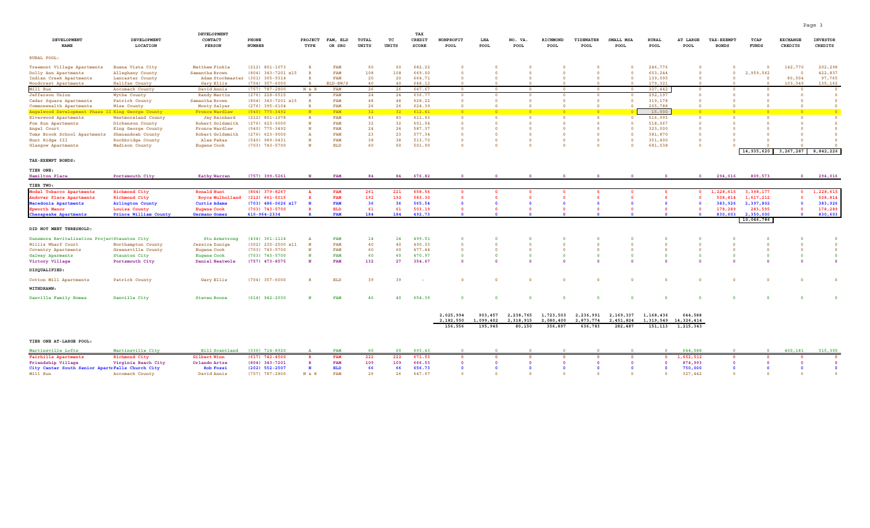|                                                    |                               | DEVELOPMENT                     |                                        |                        |                          |                       |                 | TAX              |                                           |                         |                               |                         |                                  |                                           |                      |                                     |                                   |               |                            |                            |
|----------------------------------------------------|-------------------------------|---------------------------------|----------------------------------------|------------------------|--------------------------|-----------------------|-----------------|------------------|-------------------------------------------|-------------------------|-------------------------------|-------------------------|----------------------------------|-------------------------------------------|----------------------|-------------------------------------|-----------------------------------|---------------|----------------------------|----------------------------|
| DEVELOPMENT<br><b>NAME</b>                         | DEVELOPMENT<br>LOCATION       | CONTACT<br><b>PERSON</b>        | PHONE<br><b>NUMBER</b>                 | <b>PROJECT</b><br>TYPE | FAM, ELD<br>OR SRO       | <b>TOTAL</b><br>UNITS | тc<br>UNITS     | CREDIT<br>SCORE  | NONPROFIT<br>POOL                         | LHA<br>POOL             | NO. VA.<br>POOL               | RICHMOND<br>POOL        | TIDEWATER<br>POOL                | SMALL MSA<br>POOL                         | <b>RURAL</b><br>POOL | AT LARGE<br>POOL                    | <b>TAX-EXEMPT</b><br><b>BONDS</b> | TCAP<br>FUNDS | <b>EXCHANGE</b><br>CREDITS | <b>INVESTOR</b><br>CREDITS |
| RURAL POOL:                                        |                               |                                 |                                        |                        |                          |                       |                 |                  |                                           |                         |                               |                         |                                  |                                           |                      |                                     |                                   |               |                            |                            |
| Treemont Village Apartments                        | Buena Vista City              | Matthew Finkle                  | $(212)$ 801-1073                       | $\mathbb{R}$           | FAM                      | 60                    | 60              | 682.22           | $\overline{0}$                            |                         |                               |                         |                                  |                                           | 246,776              |                                     | $\overline{\mathbf{0}}$           |               | 142,770                    | 202,298                    |
| Dolly Ann Apartments                               | Alleghany County              | Samantha Brown                  | (804) 343-7201 x15                     | $\mathbb{R}$           | <b>FAM</b>               | 108                   | 108             | 669.00           | $\Omega$                                  |                         |                               |                         | $\Omega$                         |                                           | 603,244              |                                     | $\overline{\mathbf{0}}$           | 2,959,562     | $\Omega$                   | 422,837                    |
| Indian Creek Apartments                            | Lancaster County              | Adam Stockmaster (301) 365-9314 |                                        | $\mathbb{R}$           | <b>FAM</b>               | 20                    | 20              | 664.71           |                                           |                         |                               |                         |                                  | $\Omega$                                  | 139,095              |                                     | $\Omega$                          |               | 80,504                     | 97,765                     |
| Woodcrest Apartments                               | Halifax County                | <b>Gary Ellis</b>               | $(704)$ 357-6000                       |                        | ELD-RW/S                 | 40                    | 40              | 648.12           |                                           |                         |                               |                         |                                  |                                           | 179,321              |                                     |                                   |               | 103,349                    | 135,162                    |
| Mill Run                                           | Accomack County               | David Annis                     | $(757)$ 787-2800                       | N & R                  | FAM                      | 26                    | 26              | 647.67           | $\overline{\mathbf{0}}$                   | $\overline{\mathbf{0}}$ | $\overline{0}$                | $\overline{\mathbf{0}}$ | $\overline{\mathbf{0}}$          | $\overline{\mathbf{0}}$                   | 327,442              | $\mathbf{0}$                        | $\mathbf{0}$                      |               |                            |                            |
| Jefferson Union                                    | Wythe County                  | Randy Martin                    | $(276)$ 228-6515                       | N<br>$\overline{R}$    | <b>FAM</b><br><b>FAM</b> | 24<br>48              | 24<br>48        | 636.77<br>628.22 | $\overline{\mathbf{0}}$<br>$\overline{0}$ | $\overline{\mathbf{0}}$ | $\mathbf 0$<br>$\overline{0}$ | $\Omega$                | $\overline{0}$<br>$\overline{0}$ | $\overline{\mathbf{0}}$<br>$\overline{0}$ | 292,197<br>319,178   | $\Omega$                            | $\overline{\phantom{0}}$          |               | $\circ$<br>$\Omega$        | $\overline{0}$             |
| Cedar Square Apartments<br>Commonwealth Apartments | Patrick County<br>Wise County | Samantha Brown<br>Monty Salyer  | (804) 343-7201 x15<br>$(276)$ 395-6104 | $\mathbb{R}$           | <b>FAM</b>               | 26                    | 26              | 624.39           | $\Omega$                                  |                         |                               |                         |                                  |                                           | 205,788              |                                     |                                   |               |                            |                            |
| Angelwood Development Phase II King George County  |                               | <b>Fronce Wardlaw</b>           | $(540)$ 775-3492                       | N                      | FAM                      | 32                    | 32 <sup>2</sup> | 612.41           | $\sqrt{2}$                                |                         | $\sqrt{2}$                    | $\sqrt{2}$              | $\sqrt{2}$                       |                                           | 15,000               | $\sqrt{2}$                          | <b>n</b>                          |               | $\sqrt{2}$                 |                            |
| Riverwood Apartments                               | Westmoreland County           | Jay Reinhard                    | $(212) 801 - 1078$                     | $\mathbb R$            | <b>FAM</b>               | 83                    | 83              | 611.63           | $\overline{0}$                            | $\circ$                 | $\circ$                       | $\overline{0}$          | $\mathbf 0$                      | $\overline{\mathbf{0}}$                   | 516,993              | $\overline{\mathbf{0}}$             | $\overline{\mathbf{0}}$           |               | $\overline{0}$             | $\overline{0}$             |
| Fox Run Apartments                                 | Dickenson County              | Robert Goldsmith                | $(276)$ 623-9000                       | N                      | FAM                      | 32                    | 32              | 601.54           | $\Omega$                                  |                         |                               |                         |                                  |                                           | 518,067              |                                     |                                   |               |                            |                            |
| Angel Court                                        | King George County            | <b>Fronce Wardlaw</b>           | $(540)$ 775-3492                       |                        | <b>FAM</b>               | 24                    | 24              | 587.37           |                                           |                         |                               |                         |                                  |                                           | 323,000              |                                     |                                   |               |                            |                            |
| Toms Brook School Apartments                       | Shenandoah County             | Robert Goldsmith                | $(276)$ 623-9000                       | A                      | <b>FAM</b>               | 23                    | 23              | 577.34           | $\overline{0}$                            |                         |                               |                         |                                  |                                           | 381,870              | $\overline{0}$                      |                                   |               |                            |                            |
| Hunt Ridge III                                     | Rockbridge County             | Alex Fekas                      | $(540)$ 989-0431                       | N                      | <b>FAM</b>               | 38                    | 38              | 513.70           | $\overline{0}$                            |                         | $\Omega$                      |                         | $\Omega$                         |                                           | 351,400              | $\Omega$                            |                                   |               |                            |                            |
| Glasgow Apartments                                 | Madison County                | <b>Eugene Cook</b>              | $(703)$ $743 - 5700$                   | N                      | <b>ELD</b>               | 60                    | 60              | 501.90           | $\Omega$                                  |                         | $\Omega$                      |                         |                                  |                                           | 681,038              | $\Omega$                            |                                   |               |                            |                            |
| TAX-EXEMPT BONDS:                                  |                               |                                 |                                        |                        |                          |                       |                 |                  |                                           |                         |                               |                         |                                  |                                           |                      |                                     |                                   |               | 14,935,620 3,267,287       | 8,842,226                  |
| TIER ONE:                                          |                               |                                 |                                        |                        |                          |                       |                 |                  |                                           |                         |                               |                         |                                  |                                           |                      |                                     |                                   |               |                            |                            |
| Hamilton Place                                     | Portsmouth City               | <b>Kathy Warren</b>             | $(757)$ 399-5261                       | N                      | <b>FAM</b>               | 84                    | 84              | 676.82           |                                           |                         |                               |                         |                                  |                                           |                      | $\Omega$                            | 294,016                           | 809,573       | $\overline{0}$             | 294,016                    |
| TIER TWO:                                          |                               |                                 |                                        |                        |                          |                       |                 |                  |                                           |                         |                               |                         |                                  |                                           |                      |                                     |                                   |               |                            |                            |
| Model Tobacco Apartments                           | Richmond City                 | <b>Ronald Hunt</b>              | $(804)$ 379-8267                       |                        | <b>FAM</b>               | 261                   | 221             | 658.56           | - 0                                       |                         | - 0                           |                         | $\mathbf{0}$                     |                                           | $\Omega$             |                                     | 1,228,615                         | 3,398,177     | $\mathbf 0$                | 1,228,615                  |
| Andover Place Apartments                           | Richmond City                 | <b>Royce Mulholland</b>         | $(212) 661 - 5015$                     |                        | FAM                      | 192                   | 192             | 583.30           | $\Omega$                                  |                         | $\Omega$                      |                         | $\Omega$                         |                                           |                      |                                     | 508,814                           | 1,617,212     |                            | 508,814                    |
| Macedonia Apartments                               | Arlington County              | <b>Curtis Adams</b>             | $(703)$ 486-0626 x17                   |                        | <b>FAM</b>               | 36                    | 36              | 565.54           |                                           |                         |                               |                         |                                  |                                           |                      |                                     | 383,926                           | 2,397,802     |                            | 383,926                    |
| Epworth Manor                                      | Louisa County                 | <b>Eugene Cook</b>              | $(703)$ 743-5700                       |                        | <b>ELD</b>               | 61                    | 61              | 503.19           |                                           |                         | $\Omega$                      |                         |                                  |                                           |                      |                                     | 178,289                           | 283,595       | $\Omega$                   | 178,289                    |
| Chesapeake Apartments                              | Prince William County         | Germano Gomez                   | 410-964-2334                           |                        | <b>FAM</b>               | 184                   | 184             | 492.73           |                                           |                         |                               |                         |                                  |                                           |                      |                                     | 830,603                           | 2,350,000     | $\Omega$                   | 830,603                    |
| DID NOT MEET THRESHOLD:                            |                               |                                 |                                        |                        |                          |                       |                 |                  |                                           |                         |                               |                         |                                  |                                           |                      |                                     |                                   | 10,046,786    |                            |                            |
| Dunsmore Revitalization ProjectStaunton City       |                               | <b>Stu Armstron</b>             | $(434)$ 361-1114                       | A                      | <b>FAM</b>               | 14                    | 14              | 499.51           | $\Omega$                                  |                         |                               |                         |                                  |                                           |                      |                                     |                                   |               |                            |                            |
| Willis Wharf Court                                 | Northampton County            | Jessica Zuniga                  | $(302)$ 235-2500 x11                   | N                      | <b>FAM</b>               | 40                    | 40              | 490.33           | $\Omega$                                  |                         |                               |                         |                                  |                                           |                      |                                     |                                   |               |                            |                            |
| Coventry Apartments                                | Greensville County            | <b>Eugene Cook</b>              | $(703)$ 743-5700                       | N                      | <b>FAM</b>               | 60                    | 60              | 477.44           | $\overline{0}$                            |                         | $\overline{0}$                |                         |                                  |                                           | $\circ$              |                                     |                                   |               |                            |                            |
| Galway Aparments                                   | Staunton City                 | <b>Eugene Cook</b>              | $(703)$ 743-5700                       | N                      | <b>FAM</b>               | 60                    | 60              | 470.97           | $\Omega$                                  |                         | $\Omega$                      |                         | $\Omega$                         |                                           | $\Omega$             | $\Omega$                            | $\Omega$                          |               |                            |                            |
| Victory Village                                    | Portsmouth City               | Daniel Heatwole                 | $(757)$ 473-8575                       | N                      | <b>FAM</b>               | 132                   | 27              | 354.67           | $\Omega$                                  |                         |                               |                         |                                  |                                           |                      |                                     |                                   |               |                            |                            |
| DISQUALIFIED:                                      |                               |                                 |                                        |                        |                          |                       |                 |                  |                                           |                         |                               |                         |                                  |                                           |                      |                                     |                                   |               |                            |                            |
| Cotton Mill Apartments                             | Patrick County                | Gary Ellis                      | $(704)$ 357-6000                       | $\mathbb{R}$           | <b>ELD</b>               | 39                    | 39              |                  | $\overline{0}$                            |                         | $\overline{0}$                |                         | $\overline{0}$                   |                                           | $\overline{0}$       |                                     |                                   |               |                            |                            |
| WITHDRAWN:                                         |                               |                                 |                                        |                        |                          |                       |                 |                  |                                           |                         |                               |                         |                                  |                                           |                      |                                     |                                   |               |                            |                            |
| Danville Family Homes                              | Danville City                 | <b>Steven Boone</b>             | $(614)$ 942-2030                       | N                      | <b>FAM</b>               | 40                    | 40              | 654.39           | $\mathbf 0$                               | $\Omega$                | $\mathbf 0$                   | $\Omega$                | $\mathbf 0$                      |                                           | $\mathbf 0$          |                                     |                                   |               |                            |                            |
|                                                    |                               |                                 |                                        |                        |                          |                       |                 |                  | 2,025,994<br>2,182,550                    | 903,457<br>1,099,402    | 2,238,765<br>2,318,915        | 1,723,503<br>2,080,400  | 2,236,991<br>2,873,774           | 2,169,337<br>2,451,824                    | 1,168,436            | 644,588<br>1, 319, 549 14, 326, 414 |                                   |               |                            |                            |
|                                                    |                               |                                 |                                        |                        |                          |                       |                 |                  | 156,556                                   | 195,945                 | 80,150                        | 356,897                 | 636,783                          | 282,487                                   | 151,113              | 1,215,343                           |                                   |               |                            |                            |
| TIER ONE AT-LARGE POOL:                            |                               |                                 |                                        |                        |                          |                       |                 |                  |                                           |                         |                               |                         |                                  |                                           |                      |                                     |                                   |               |                            |                            |
| Martinsville Lofts                                 | Martinsville City             | <b>Bill Scantland</b>           | $(336)$ $714 - 8920$                   |                        | <b>FAM</b>               | 60                    | 60              | 693.43           |                                           |                         |                               |                         |                                  |                                           |                      | 644,588                             |                                   |               | 400,181                    | 315,305                    |
| Fairhills Apartments                               | Richmond City                 | Gilbert Winn                    | $(617)$ 742-4500                       |                        | FAM                      | 222                   | 222             | 671.53           |                                           |                         |                               |                         |                                  |                                           |                      | 1,652,512                           |                                   |               |                            |                            |
| Friendship Village                                 | Virginia Beach City           | Orlando Artze                   | $(804)$ 343-7201                       | $\mathbb{R}$           | FAM                      | 109                   | 109             | 666.53           | $\Omega$                                  |                         |                               |                         |                                  |                                           |                      | 874,993                             |                                   |               |                            |                            |
| City Center South Senior ApartrFalls Church City   |                               | <b>Rob Fossi</b>                | $(202)$ 552-2507                       |                        | <b>ELD</b>               | 66                    | 66              | 656.73           |                                           |                         |                               |                         |                                  |                                           | $\Omega$             | 750,000                             | $\Omega$                          |               |                            |                            |
| Mill Run                                           | Accomack County               | David Annis                     | $(757)$ 787-2800                       | N & R                  | <b>FAM</b>               | 26                    | 26              | 647.67           |                                           |                         |                               |                         |                                  |                                           | $\Omega$             | 327,442                             | $\Omega$                          |               |                            |                            |